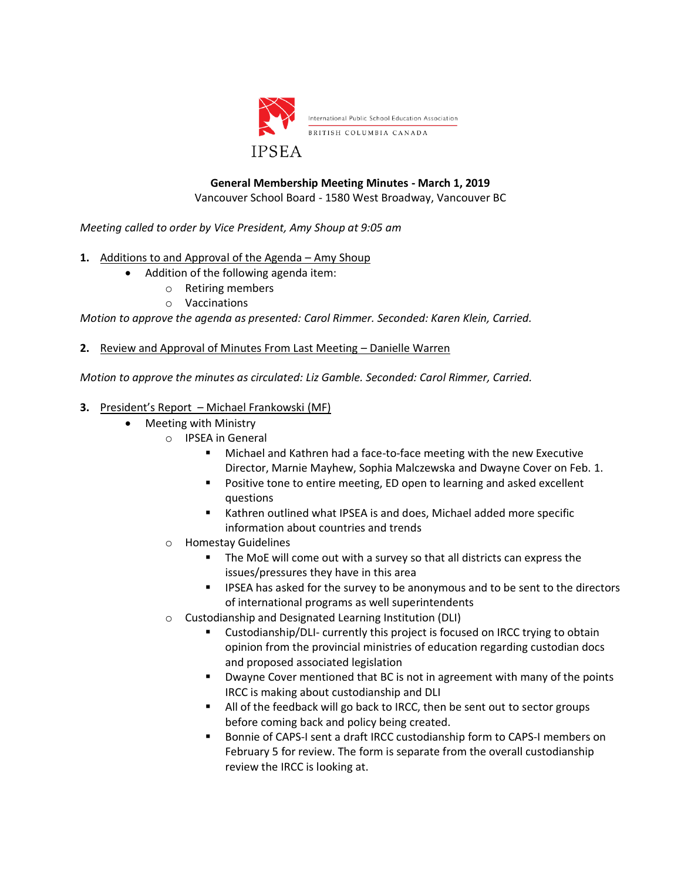

# **General Membership Meeting Minutes - March 1, 2019**

Vancouver School Board - 1580 West Broadway, Vancouver BC

*Meeting called to order by Vice President, Amy Shoup at 9:05 am*

- **1.** Additions to and Approval of the Agenda Amy Shoup
	- Addition of the following agenda item:
		- o Retiring members
			- o Vaccinations

*Motion to approve the agenda as presented: Carol Rimmer. Seconded: Karen Klein, Carried.*

**2.** Review and Approval of Minutes From Last Meeting – Danielle Warren

*Motion to approve the minutes as circulated: Liz Gamble. Seconded: Carol Rimmer, Carried.*

### **3.** President's Report – Michael Frankowski (MF)

- Meeting with Ministry
	- o IPSEA in General
		- Michael and Kathren had a face-to-face meeting with the new Executive Director, Marnie Mayhew, Sophia Malczewska and Dwayne Cover on Feb. 1.
		- Positive tone to entire meeting, ED open to learning and asked excellent questions
		- Kathren outlined what IPSEA is and does, Michael added more specific information about countries and trends
	- **Homestay Guidelines** 
		- The MoE will come out with a survey so that all districts can express the issues/pressures they have in this area
		- **EXECTE IPSEA has asked for the survey to be anonymous and to be sent to the directors** of international programs as well superintendents
	- o Custodianship and Designated Learning Institution (DLI)
		- Custodianship/DLI- currently this project is focused on IRCC trying to obtain opinion from the provincial ministries of education regarding custodian docs and proposed associated legislation
		- Dwayne Cover mentioned that BC is not in agreement with many of the points IRCC is making about custodianship and DLI
		- All of the feedback will go back to IRCC, then be sent out to sector groups before coming back and policy being created.
		- Bonnie of CAPS-I sent a draft IRCC custodianship form to CAPS-I members on February 5 for review. The form is separate from the overall custodianship review the IRCC is looking at.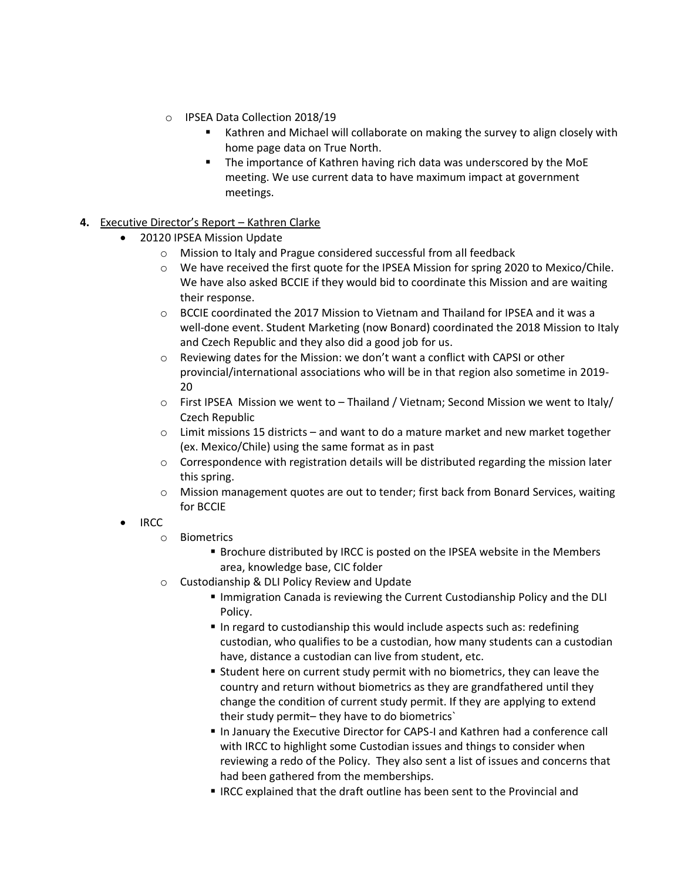- o IPSEA Data Collection 2018/19
	- Kathren and Michael will collaborate on making the survey to align closely with home page data on True North.
	- The importance of Kathren having rich data was underscored by the MoE meeting. We use current data to have maximum impact at government meetings.

## **4.** Executive Director's Report – Kathren Clarke

- 20120 IPSEA Mission Update
	- o Mission to Italy and Prague considered successful from all feedback
	- o We have received the first quote for the IPSEA Mission for spring 2020 to Mexico/Chile. We have also asked BCCIE if they would bid to coordinate this Mission and are waiting their response.
	- $\circ$  BCCIE coordinated the 2017 Mission to Vietnam and Thailand for IPSEA and it was a well-done event. Student Marketing (now Bonard) coordinated the 2018 Mission to Italy and Czech Republic and they also did a good job for us.
	- $\circ$  Reviewing dates for the Mission: we don't want a conflict with CAPSI or other provincial/international associations who will be in that region also sometime in 2019- 20
	- $\circ$  First IPSEA Mission we went to Thailand / Vietnam; Second Mission we went to Italy/ Czech Republic
	- $\circ$  Limit missions 15 districts and want to do a mature market and new market together (ex. Mexico/Chile) using the same format as in past
	- o Correspondence with registration details will be distributed regarding the mission later this spring.
	- o Mission management quotes are out to tender; first back from Bonard Services, waiting for BCCIE
- IRCC
	- o Biometrics
		- **EXECT** Brochure distributed by IRCC is posted on the IPSEA website in the Members area, knowledge base, CIC folder
	- o Custodianship & DLI Policy Review and Update
		- Immigration Canada is reviewing the Current Custodianship Policy and the DLI Policy.
		- In regard to custodianship this would include aspects such as: redefining custodian, who qualifies to be a custodian, how many students can a custodian have, distance a custodian can live from student, etc.
		- **E** Student here on current study permit with no biometrics, they can leave the country and return without biometrics as they are grandfathered until they change the condition of current study permit. If they are applying to extend their study permit– they have to do biometrics`
		- In January the Executive Director for CAPS-I and Kathren had a conference call with IRCC to highlight some Custodian issues and things to consider when reviewing a redo of the Policy. They also sent a list of issues and concerns that had been gathered from the memberships.
		- IRCC explained that the draft outline has been sent to the Provincial and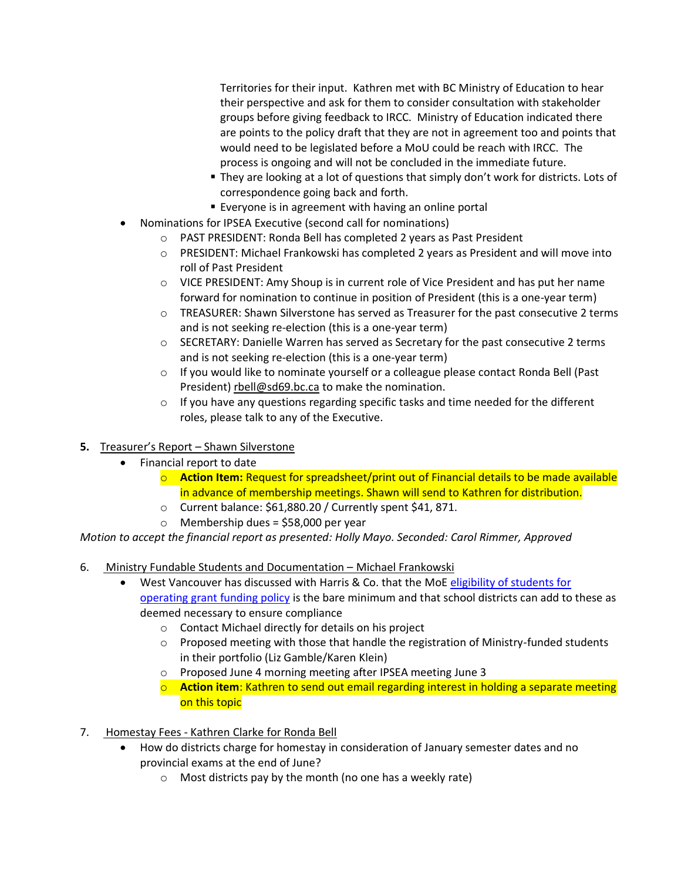Territories for their input. Kathren met with BC Ministry of Education to hear their perspective and ask for them to consider consultation with stakeholder groups before giving feedback to IRCC. Ministry of Education indicated there are points to the policy draft that they are not in agreement too and points that would need to be legislated before a MoU could be reach with IRCC. The process is ongoing and will not be concluded in the immediate future.

- They are looking at a lot of questions that simply don't work for districts. Lots of correspondence going back and forth.
- Everyone is in agreement with having an online portal
- Nominations for IPSEA Executive (second call for nominations)
	- o PAST PRESIDENT: Ronda Bell has completed 2 years as Past President
	- o PRESIDENT: Michael Frankowski has completed 2 years as President and will move into roll of Past President
	- $\circ$  VICE PRESIDENT: Amy Shoup is in current role of Vice President and has put her name forward for nomination to continue in position of President (this is a one-year term)
	- $\circ$  TREASURER: Shawn Silverstone has served as Treasurer for the past consecutive 2 terms and is not seeking re-election (this is a one-year term)
	- o SECRETARY: Danielle Warren has served as Secretary for the past consecutive 2 terms and is not seeking re-election (this is a one-year term)
	- $\circ$  If you would like to nominate yourself or a colleague please contact Ronda Bell (Past President) [rbell@sd69.bc.ca](mailto:rbell@sd69.bc.ca) to make the nomination.
	- $\circ$  If you have any questions regarding specific tasks and time needed for the different roles, please talk to any of the Executive.

# **5.** Treasurer's Report – Shawn Silverstone

- Financial report to date
	- o **Action Item:** Request for spreadsheet/print out of Financial details to be made available in advance of membership meetings. Shawn will send to Kathren for distribution.
	- o Current balance: \$61,880.20 / Currently spent \$41, 871.
	- o Membership dues = \$58,000 per year

*Motion to accept the financial report as presented: Holly Mayo. Seconded: Carol Rimmer, Approved* 

- 6. Ministry Fundable Students and Documentation Michael Frankowski
	- West Vancouver has discussed with Harris & Co. that the MoE [eligibility of students for](https://www2.gov.bc.ca/gov/content/education-training/k-12/administration/legislation-policy/public-schools/eligibility-of-students-for-operating-grant-funding)  [operating grant funding policy](https://www2.gov.bc.ca/gov/content/education-training/k-12/administration/legislation-policy/public-schools/eligibility-of-students-for-operating-grant-funding) is the bare minimum and that school districts can add to these as deemed necessary to ensure compliance
		- o Contact Michael directly for details on his project
		- $\circ$  Proposed meeting with those that handle the registration of Ministry-funded students in their portfolio (Liz Gamble/Karen Klein)
		- o Proposed June 4 morning meeting after IPSEA meeting June 3
		- o **Action item**: Kathren to send out email regarding interest in holding a separate meeting on this topic
- 7. Homestay Fees Kathren Clarke for Ronda Bell
	- How do districts charge for homestay in consideration of January semester dates and no provincial exams at the end of June?
		- o Most districts pay by the month (no one has a weekly rate)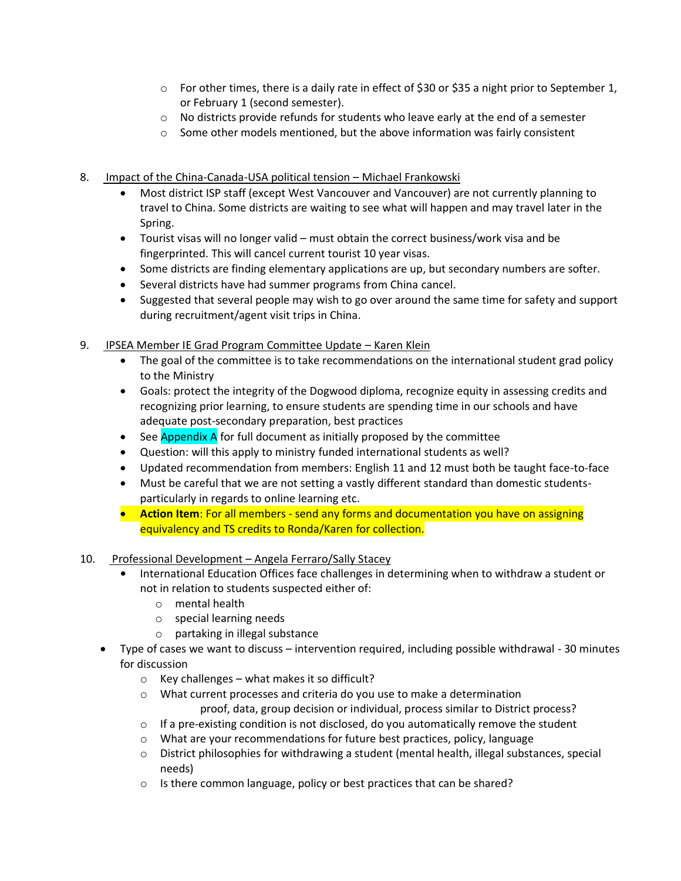- $\circ$  For other times, there is a daily rate in effect of \$30 or \$35 a night prior to September 1, or February 1 (second semester).
- $\circ$  No districts provide refunds for students who leave early at the end of a semester
- o Some other models mentioned, but the above information was fairly consistent
- 8. Impact of the China-Canada-USA political tension Michael Frankowski
	- Most district ISP staff (except West Vancouver and Vancouver) are not currently planning to travel to China. Some districts are waiting to see what will happen and may travel later in the Spring.
	- Tourist visas will no longer valid must obtain the correct business/work visa and be fingerprinted. This will cancel current tourist 10 year visas.
	- Some districts are finding elementary applications are up, but secondary numbers are softer.
	- Several districts have had summer programs from China cancel.
	- Suggested that several people may wish to go over around the same time for safety and support during recruitment/agent visit trips in China.
- 9. IPSEA Member IE Grad Program Committee Update Karen Klein
	- The goal of the committee is to take recommendations on the international student grad policy to the Ministry
	- Goals: protect the integrity of the Dogwood diploma, recognize equity in assessing credits and recognizing prior learning, to ensure students are spending time in our schools and have adequate post-secondary preparation, best practices
	- See Appendix A for full document as initially proposed by the committee
	- Question: will this apply to ministry funded international students as well?
	- Updated recommendation from members: English 11 and 12 must both be taught face-to-face
	- Must be careful that we are not setting a vastly different standard than domestic studentsparticularly in regards to online learning etc.
	- **Action Item**: For all members send any forms and documentation you have on assigning equivalency and TS credits to Ronda/Karen for collection.
- 10. Professional Development Angela Ferraro/Sally Stacey
	- **•** International Education Offices face challenges in determining when to withdraw a student or not in relation to students suspected either of:
		- o mental health
		- o special learning needs
		- o partaking in illegal substance
	- Type of cases we want to discuss intervention required, including possible withdrawal 30 minutes for discussion
		- $\circ$  Key challenges what makes it so difficult?
		- o What current processes and criteria do you use to make a determination proof, data, group decision or individual, process similar to District process?
		- $\circ$  If a pre-existing condition is not disclosed, do you automatically remove the student
		- $\circ$  What are your recommendations for future best practices, policy, language
		- $\circ$  District philosophies for withdrawing a student (mental health, illegal substances, special needs)
		- o Is there common language, policy or best practices that can be shared?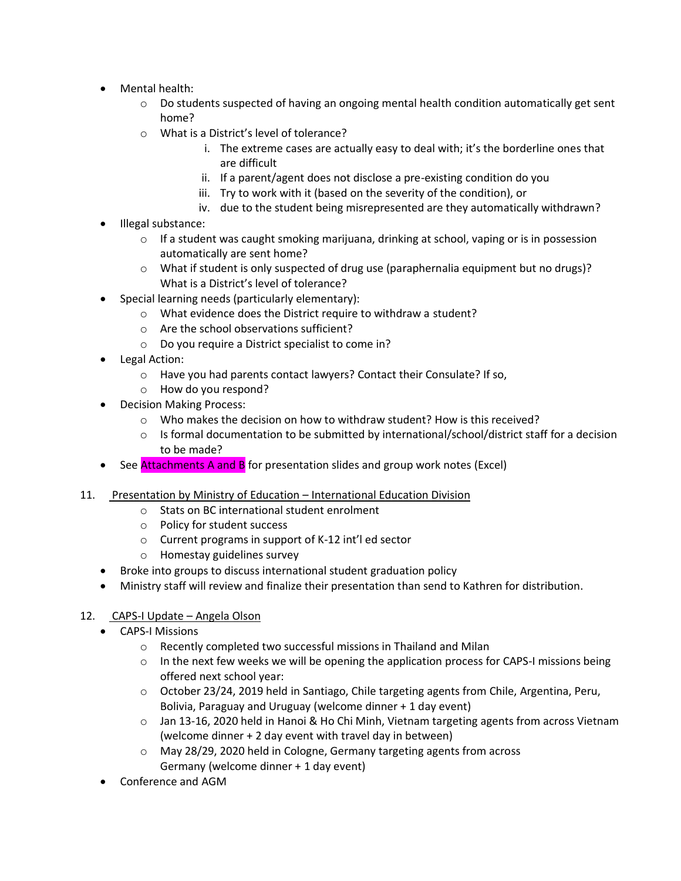- Mental health:
	- o Do students suspected of having an ongoing mental health condition automatically get sent home?
	- o What is a District's level of tolerance?
		- i. The extreme cases are actually easy to deal with; it's the borderline ones that are difficult
		- ii. If a parent/agent does not disclose a pre-existing condition do you
		- iii. Try to work with it (based on the severity of the condition), or
		- iv. due to the student being misrepresented are they automatically withdrawn?
- Illegal substance:
	- $\circ$  If a student was caught smoking marijuana, drinking at school, vaping or is in possession automatically are sent home?
	- o What if student is only suspected of drug use (paraphernalia equipment but no drugs)? What is a District's level of tolerance?
- Special learning needs (particularly elementary):
	- o What evidence does the District require to withdraw a student?
	- o Are the school observations sufficient?
	- o Do you require a District specialist to come in?
- Legal Action:
	- o Have you had parents contact lawyers? Contact their Consulate? If so,
	- o How do you respond?
- Decision Making Process:
	- $\circ$  Who makes the decision on how to withdraw student? How is this received?
	- $\circ$  Is formal documentation to be submitted by international/school/district staff for a decision to be made?
- See **Attachments A and B** for presentation slides and group work notes (Excel)
- 11. Presentation by Ministry of Education International Education Division
	- o Stats on BC international student enrolment
	- o Policy for student success
	- o Current programs in support of K-12 int'l ed sector
	- o Homestay guidelines survey
	- Broke into groups to discuss international student graduation policy
	- Ministry staff will review and finalize their presentation than send to Kathren for distribution.

## 12. CAPS-I Update – Angela Olson

- CAPS-I Missions
	- o Recently completed two successful missions in Thailand and Milan
	- $\circ$  In the next few weeks we will be opening the application process for CAPS-I missions being offered next school year:
	- o October 23/24, 2019 held in Santiago, Chile targeting agents from Chile, Argentina, Peru, Bolivia, Paraguay and Uruguay (welcome dinner + 1 day event)
	- o Jan 13-16, 2020 held in Hanoi & Ho Chi Minh, Vietnam targeting agents from across Vietnam (welcome dinner + 2 day event with travel day in between)
	- o May 28/29, 2020 held in Cologne, Germany targeting agents from across Germany (welcome dinner + 1 day event)
- Conference and AGM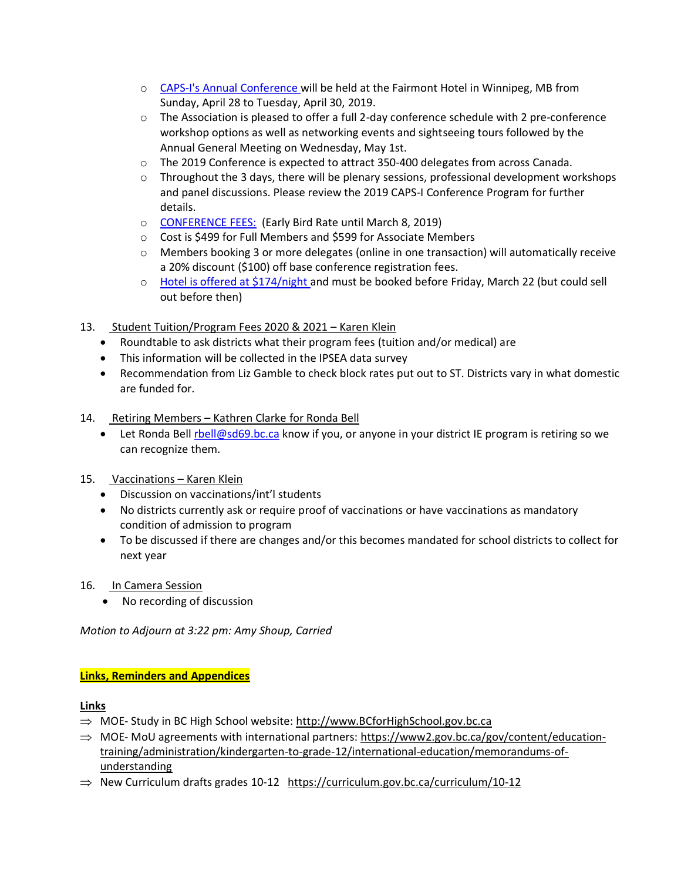- o [CAPS-I's Annual Conference w](https://www.gifttool.com/registrar/ShowEventDetails?ID=2007&EID=26762)ill be held at the Fairmont Hotel in Winnipeg, MB from Sunday, April 28 to Tuesday, April 30, 2019.
- $\circ$  The Association is pleased to offer a full 2-day conference schedule with 2 pre-conference workshop options as well as networking events and sightseeing tours followed by the Annual General Meeting on Wednesday, May 1st.
- o The 2019 Conference is expected to attract 350-400 delegates from across Canada.
- $\circ$  Throughout the 3 days, there will be plenary sessions, professional development workshops and panel discussions. Please review the 2019 CAPS-I Conference Program for further details.
- o [CONFERENCE FEES:](https://www.gifttool.com/registrar/ShowEventDetails?ID=2007&EID=26762) (Early Bird Rate until March 8, 2019)
- o Cost is \$499 for Full Members and \$599 for Associate Members
- $\circ$  Members booking 3 or more delegates (online in one transaction) will automatically receive a 20% discount (\$100) off base conference registration fees.
- o [Hotel is offered at \\$174/night a](https://book.passkey.com/event/49832870/owner/56419/home)nd must be booked before Friday, March 22 (but could sell out before then)
- 13. Student Tuition/Program Fees 2020 & 2021 Karen Klein
	- Roundtable to ask districts what their program fees (tuition and/or medical) are
	- This information will be collected in the IPSEA data survey
	- Recommendation from Liz Gamble to check block rates put out to ST. Districts vary in what domestic are funded for.
- 14. Retiring Members Kathren Clarke for Ronda Bell
	- Let Ronda Bel[l rbell@sd69.bc.ca](mailto:rbell@sd69.bc.ca) know if you, or anyone in your district IE program is retiring so we can recognize them.
- 15. Vaccinations Karen Klein
	- Discussion on vaccinations/int'l students
	- No districts currently ask or require proof of vaccinations or have vaccinations as mandatory condition of admission to program
	- To be discussed if there are changes and/or this becomes mandated for school districts to collect for next year
- 16. In Camera Session
	- No recording of discussion

*Motion to Adjourn at 3:22 pm: Amy Shoup, Carried*

#### **Links, Reminders and Appendices**

#### **Links**

- $\Rightarrow$  MOE- Study in BC High School website: [http://www.BCforHighSchool.gov.bc.ca](http://www.bcforhighschool.gov.bc.ca/)
- $\Rightarrow$  MOE-MoU agreements with international partners: [https://www2.gov.bc.ca/gov/content/education](https://www2.gov.bc.ca/gov/content/education-training/administration/kindergarten-to-grade-12/international-education/memorandums-of-understanding)[training/administration/kindergarten-to-grade-12/international-education/memorandums-of](https://www2.gov.bc.ca/gov/content/education-training/administration/kindergarten-to-grade-12/international-education/memorandums-of-understanding)[understanding](https://www2.gov.bc.ca/gov/content/education-training/administration/kindergarten-to-grade-12/international-education/memorandums-of-understanding)
- $\Rightarrow$  New Curriculum drafts grades 10-12 <https://curriculum.gov.bc.ca/curriculum/10-12>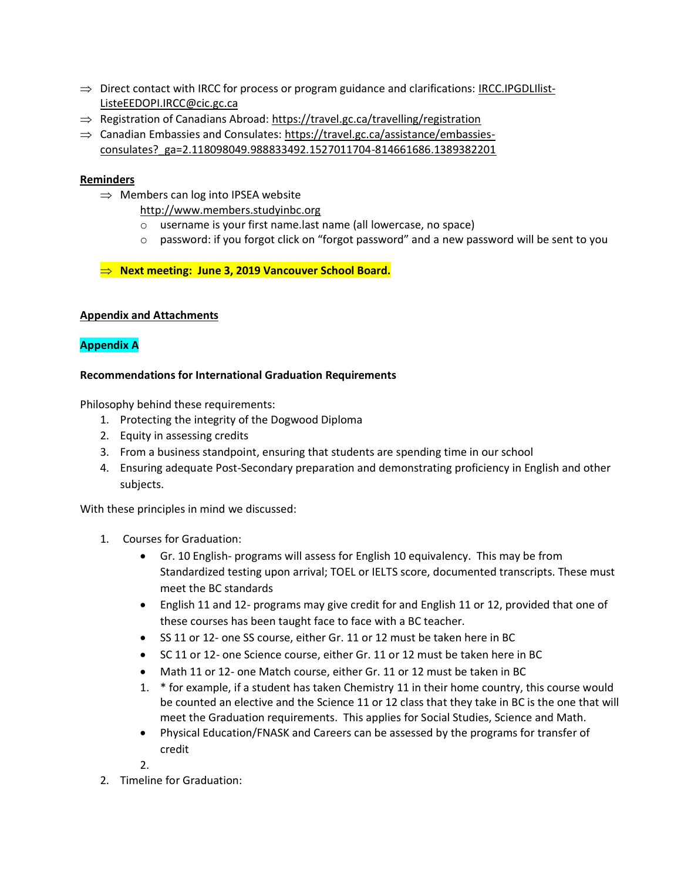- $\Rightarrow$  Direct contact with IRCC for process or program guidance and clarifications: [IRCC.IPGDLIlist-](mailto:IRCC.IPGDLIlist-ListeEEDOPI.IRCC@cic.gc.ca)[ListeEEDOPI.IRCC@cic.gc.ca](mailto:IRCC.IPGDLIlist-ListeEEDOPI.IRCC@cic.gc.ca)
- $\Rightarrow$  Registration of Canadians Abroad:<https://travel.gc.ca/travelling/registration>
- $\Rightarrow$  Canadian Embassies and Consulates: [https://travel.gc.ca/assistance/embassies](https://travel.gc.ca/assistance/embassies-consulates?_ga=2.118098049.988833492.1527011704-814661686.1389382201)[consulates?\\_ga=2.118098049.988833492.1527011704-814661686.1389382201](https://travel.gc.ca/assistance/embassies-consulates?_ga=2.118098049.988833492.1527011704-814661686.1389382201)

## **Reminders**

- $\Rightarrow$  Members can log into IPSEA website
	- [http://www.members.studyinbc.org](http://www.members.studyinbc.org/)
	- o username is your first name.last name (all lowercase, no space)
	- $\circ$  password: if you forgot click on "forgot password" and a new password will be sent to you

**Next meeting: June 3, 2019 Vancouver School Board.**

### **Appendix and Attachments**

## **Appendix A**

#### **Recommendations for International Graduation Requirements**

Philosophy behind these requirements:

- 1. Protecting the integrity of the Dogwood Diploma
- 2. Equity in assessing credits
- 3. From a business standpoint, ensuring that students are spending time in our school
- 4. Ensuring adequate Post-Secondary preparation and demonstrating proficiency in English and other subjects.

With these principles in mind we discussed:

- 1. Courses for Graduation:
	- Gr. 10 English- programs will assess for English 10 equivalency. This may be from Standardized testing upon arrival; TOEL or IELTS score, documented transcripts. These must meet the BC standards
	- English 11 and 12- programs may give credit for and English 11 or 12, provided that one of these courses has been taught face to face with a BC teacher.
	- SS 11 or 12- one SS course, either Gr. 11 or 12 must be taken here in BC
	- SC 11 or 12- one Science course, either Gr. 11 or 12 must be taken here in BC
	- Math 11 or 12- one Match course, either Gr. 11 or 12 must be taken in BC
	- 1. \* for example, if a student has taken Chemistry 11 in their home country, this course would be counted an elective and the Science 11 or 12 class that they take in BC is the one that will meet the Graduation requirements. This applies for Social Studies, Science and Math.
	- Physical Education/FNASK and Careers can be assessed by the programs for transfer of credit

2.

2. Timeline for Graduation: